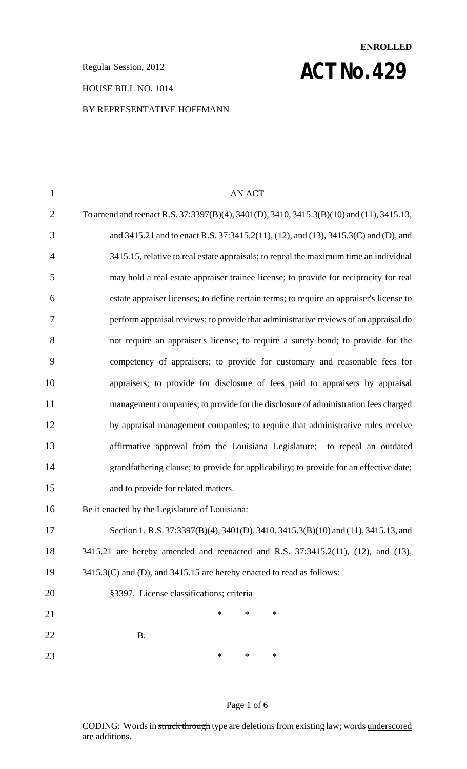#### HOUSE BILL NO. 1014

#### BY REPRESENTATIVE HOFFMANN

# **ENROLLED Regular Session, 2012 ACT NO. 429**

| $\mathbf{1}$   | <b>AN ACT</b>                                                                            |
|----------------|------------------------------------------------------------------------------------------|
| $\overline{2}$ | To amend and reenact R.S. 37:3397(B)(4), 3401(D), 3410, 3415.3(B)(10) and (11), 3415.13, |
| 3              | and 3415.21 and to enact R.S. 37:3415.2(11), (12), and (13), 3415.3(C) and (D), and      |
| $\overline{4}$ | 3415.15, relative to real estate appraisals; to repeal the maximum time an individual    |
| 5              | may hold a real estate appraiser trainee license; to provide for reciprocity for real    |
| 6              | estate appraiser licenses; to define certain terms; to require an appraiser's license to |
| 7              | perform appraisal reviews; to provide that administrative reviews of an appraisal do     |
| 8              | not require an appraiser's license; to require a surety bond; to provide for the         |
| 9              | competency of appraisers; to provide for customary and reasonable fees for               |
| 10             | appraisers; to provide for disclosure of fees paid to appraisers by appraisal            |
| 11             | management companies; to provide for the disclosure of administration fees charged       |
| 12             | by appraisal management companies; to require that administrative rules receive          |
| 13             | affirmative approval from the Louisiana Legislature; to repeal an outdated               |
| 14             | grandfathering clause; to provide for applicability; to provide for an effective date;   |
| 15             | and to provide for related matters.                                                      |
| 16             | Be it enacted by the Legislature of Louisiana:                                           |
| 17             | Section 1. R.S. 37:3397(B)(4), 3401(D), 3410, 3415.3(B)(10) and (11), 3415.13, and       |
| 18             | 3415.21 are hereby amended and reenacted and R.S. 37:3415.2(11), (12), and (13),         |
| 19             | 3415.3(C) and (D), and 3415.15 are hereby enacted to read as follows:                    |
| 20             | §3397. License classifications; criteria                                                 |
| 21             | ∗<br>*<br>∗                                                                              |
| 22             | <b>B.</b>                                                                                |
| 23             | $\ast$<br>$\ast$<br>$\ast$                                                               |

## Page 1 of 6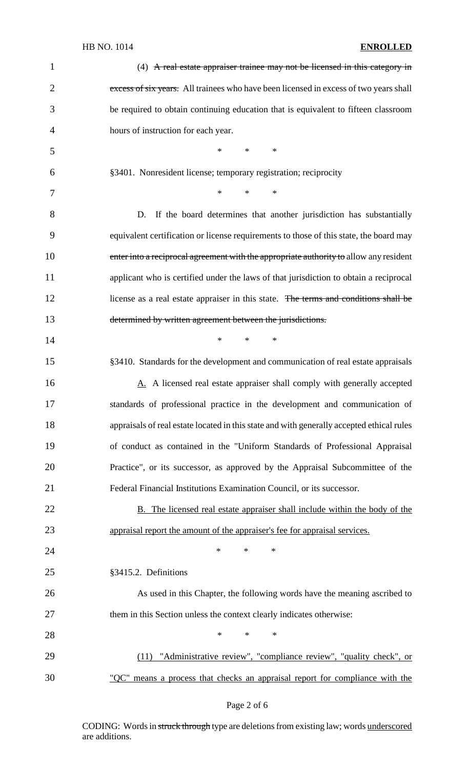## HB NO. 1014 **ENROLLED**

| $\mathbf{1}$   | $(4)$ A real estate appraiser trainee may not be licensed in this category in             |
|----------------|-------------------------------------------------------------------------------------------|
| $\overline{2}$ | excess of six years. All trainees who have been licensed in excess of two years shall     |
| 3              | be required to obtain continuing education that is equivalent to fifteen classroom        |
| $\overline{4}$ | hours of instruction for each year.                                                       |
| 5              | $*$ * *                                                                                   |
| 6              | §3401. Nonresident license; temporary registration; reciprocity                           |
| 7              | $*$<br>$*$ $-$<br>$\ast$                                                                  |
| 8              | If the board determines that another jurisdiction has substantially<br>D.                 |
| 9              | equivalent certification or license requirements to those of this state, the board may    |
| 10             | enter into a reciprocal agreement with the appropriate authority to allow any resident    |
| 11             | applicant who is certified under the laws of that jurisdiction to obtain a reciprocal     |
| 12             | license as a real estate appraiser in this state. The terms and conditions shall be       |
| 13             | determined by written agreement between the jurisdictions.                                |
| 14             | $\ast$<br>$*$ $-$<br>$\ast$                                                               |
| 15             | §3410. Standards for the development and communication of real estate appraisals          |
| 16             | A. A licensed real estate appraiser shall comply with generally accepted                  |
| 17             | standards of professional practice in the development and communication of                |
| 18             | appraisals of real estate located in this state and with generally accepted ethical rules |
| 19             | of conduct as contained in the "Uniform Standards of Professional Appraisal               |
| 20             | Practice", or its successor, as approved by the Appraisal Subcommittee of the             |
| 21             | Federal Financial Institutions Examination Council, or its successor.                     |
| 22             | B. The licensed real estate appraiser shall include within the body of the                |
| 23             | appraisal report the amount of the appraiser's fee for appraisal services.                |
| 24             | $\ast$<br>$\ast$<br>$\ast$                                                                |
| 25             | §3415.2. Definitions                                                                      |
| 26             | As used in this Chapter, the following words have the meaning ascribed to                 |
| 27             | them in this Section unless the context clearly indicates otherwise:                      |
| 28             | *<br>$\ast$<br>∗                                                                          |
| 29             | (11) "Administrative review", "compliance review", "quality check", or                    |
| 30             | "QC" means a process that checks an appraisal report for compliance with the              |
|                |                                                                                           |

## Page 2 of 6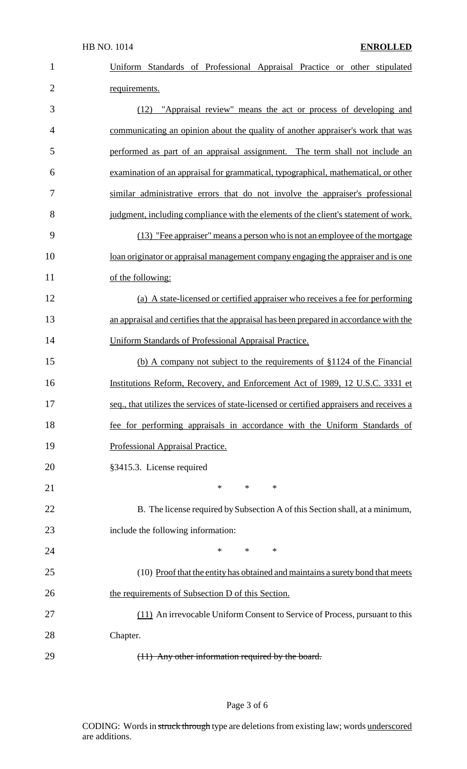| $\mathbf{1}$   | Uniform Standards of Professional Appraisal Practice or other stipulated                  |
|----------------|-------------------------------------------------------------------------------------------|
| $\overline{2}$ | requirements.                                                                             |
| 3              | (12) "Appraisal review" means the act or process of developing and                        |
| $\overline{4}$ | communicating an opinion about the quality of another appraiser's work that was           |
| 5              | performed as part of an appraisal assignment. The term shall not include an               |
| 6              | examination of an appraisal for grammatical, typographical, mathematical, or other        |
| 7              | similar administrative errors that do not involve the appraiser's professional            |
| 8              | judgment, including compliance with the elements of the client's statement of work.       |
| 9              | (13) "Fee appraiser" means a person who is not an employee of the mortgage                |
| 10             | loan originator or appraisal management company engaging the appraiser and is one         |
| 11             | of the following:                                                                         |
| 12             | (a) A state-licensed or certified appraiser who receives a fee for performing             |
| 13             | an appraisal and certifies that the appraisal has been prepared in accordance with the    |
| 14             | Uniform Standards of Professional Appraisal Practice.                                     |
| 15             | (b) A company not subject to the requirements of §1124 of the Financial                   |
| 16             | Institutions Reform, Recovery, and Enforcement Act of 1989, 12 U.S.C. 3331 et             |
| 17             | seq., that utilizes the services of state-licensed or certified appraisers and receives a |
| 18             | fee for performing appraisals in accordance with the Uniform Standards of                 |
| 19             | Professional Appraisal Practice.                                                          |
| 20             | §3415.3. License required                                                                 |
| 21             | *<br>$\ast$<br>$\ast$                                                                     |
| 22             | B. The license required by Subsection A of this Section shall, at a minimum,              |
| 23             | include the following information:                                                        |
| 24             | *<br>$\ast$<br>$\ast$                                                                     |
| 25             | (10) Proof that the entity has obtained and maintains a surety bond that meets            |
| 26             | the requirements of Subsection D of this Section.                                         |
| 27             | (11) An irrevocable Uniform Consent to Service of Process, pursuant to this               |
| 28             | Chapter.                                                                                  |
| 29             | (11) Any other information required by the board.                                         |

## Page 3 of 6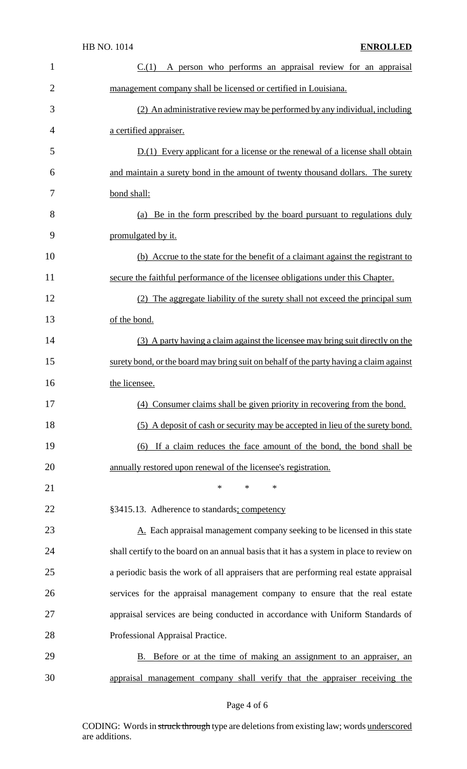| 1              | $C(1)$ A person who performs an appraisal review for an appraisal                        |
|----------------|------------------------------------------------------------------------------------------|
| $\overline{2}$ | management company shall be licensed or certified in Louisiana.                          |
| 3              | (2) An administrative review may be performed by any individual, including               |
| 4              | a certified appraiser.                                                                   |
| 5              | $D(1)$ Every applicant for a license or the renewal of a license shall obtain            |
| 6              | and maintain a surety bond in the amount of twenty thousand dollars. The surety          |
| 7              | bond shall:                                                                              |
| 8              | (a) Be in the form prescribed by the board pursuant to regulations duly                  |
| 9              | promulgated by it.                                                                       |
| 10             | (b) Accrue to the state for the benefit of a claimant against the registrant to          |
| 11             | secure the faithful performance of the licensee obligations under this Chapter.          |
| 12             | (2) The aggregate liability of the surety shall not exceed the principal sum             |
| 13             | of the bond.                                                                             |
| 14             | (3) A party having a claim against the licensee may bring suit directly on the           |
| 15             | surety bond, or the board may bring suit on behalf of the party having a claim against   |
| 16             | the licensee.                                                                            |
| 17             | (4) Consumer claims shall be given priority in recovering from the bond.                 |
| 18             | (5) A deposit of cash or security may be accepted in lieu of the surety bond.            |
| 19             | (6) If a claim reduces the face amount of the bond, the bond shall be                    |
| 20             | annually restored upon renewal of the licensee's registration.                           |
| 21             | $\ast$<br>*<br>$\ast$                                                                    |
| 22             | §3415.13. Adherence to standards; competency                                             |
| 23             | $\underline{A}$ . Each appraisal management company seeking to be licensed in this state |
| 24             | shall certify to the board on an annual basis that it has a system in place to review on |
| 25             | a periodic basis the work of all appraisers that are performing real estate appraisal    |
| 26             | services for the appraisal management company to ensure that the real estate             |
| 27             | appraisal services are being conducted in accordance with Uniform Standards of           |
| 28             | Professional Appraisal Practice.                                                         |
| 29             | B. Before or at the time of making an assignment to an appraiser, an                     |
| 30             | appraisal management company shall verify that the appraiser receiving the               |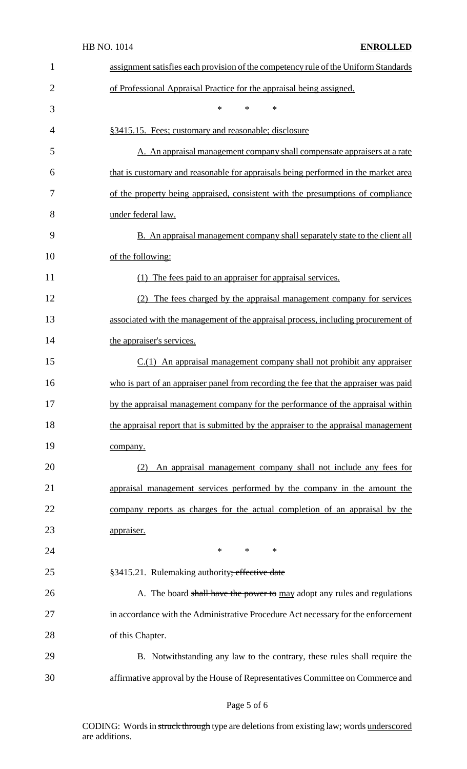| $\mathbf{1}$ | assignment satisfies each provision of the competency rule of the Uniform Standards  |
|--------------|--------------------------------------------------------------------------------------|
| 2            | of Professional Appraisal Practice for the appraisal being assigned.                 |
| 3            | $\ast$<br>$\ast$<br>*                                                                |
| 4            | §3415.15. Fees; customary and reasonable; disclosure                                 |
| 5            | A. An appraisal management company shall compensate appraisers at a rate             |
| 6            | that is customary and reasonable for appraisals being performed in the market area   |
| 7            | of the property being appraised, consistent with the presumptions of compliance      |
| 8            | under federal law.                                                                   |
| 9            | <b>B.</b> An appraisal management company shall separately state to the client all   |
| 10           | of the following:                                                                    |
| 11           | The fees paid to an appraiser for appraisal services.<br>(1)                         |
| 12           | (2) The fees charged by the appraisal management company for services                |
| 13           | associated with the management of the appraisal process, including procurement of    |
| 14           | the appraiser's services.                                                            |
| 15           | $C(1)$ An appraisal management company shall not prohibit any appraiser              |
| 16           | who is part of an appraiser panel from recording the fee that the appraiser was paid |
| 17           | by the appraisal management company for the performance of the appraisal within      |
| 18           | the appraisal report that is submitted by the appraiser to the appraisal management  |
| 19           | company.                                                                             |
| 20           | An appraisal management company shall not include any fees for<br>(2)                |
| 21           | appraisal management services performed by the company in the amount the             |
| 22           | company reports as charges for the actual completion of an appraisal by the          |
| 23           | appraiser.                                                                           |
| 24           | $*$<br>$\ast$<br>$\ast$                                                              |
| 25           | §3415.21. Rulemaking authority; effective date                                       |
| 26           | A. The board shall have the power to may adopt any rules and regulations             |
| 27           | in accordance with the Administrative Procedure Act necessary for the enforcement    |
| 28           | of this Chapter.                                                                     |
| 29           | B. Notwithstanding any law to the contrary, these rules shall require the            |
| 30           | affirmative approval by the House of Representatives Committee on Commerce and       |

## Page 5 of 6